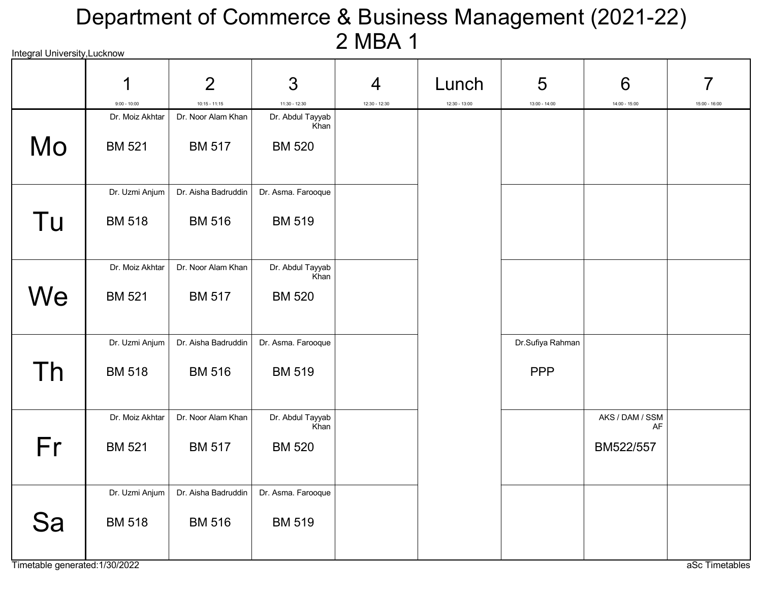# Integral University,Lucknow Department of Commerce & Business Management (2021-22) 2 MBA 1

|    | 1                                 | $\overline{2}$                        | 3                                   | $\overline{4}$ | Lunch           | 5                | 6               | 7               |
|----|-----------------------------------|---------------------------------------|-------------------------------------|----------------|-----------------|------------------|-----------------|-----------------|
|    | $9:00 - 10:00$<br>Dr. Moiz Akhtar | $10:15 - 11:15$<br>Dr. Noor Alam Khan | $11:30 - 12:30$<br>Dr. Abdul Tayyab | 12:30 - 12:30  | $12:30 - 13:00$ | $13:00 - 14:00$  | $14:00 - 15:00$ | $15:00 - 16:00$ |
| Mo | <b>BM 521</b>                     | <b>BM 517</b>                         | Khan<br><b>BM 520</b>               |                |                 |                  |                 |                 |
|    | Dr. Uzmi Anjum                    | Dr. Aisha Badruddin                   | Dr. Asma. Farooque                  |                |                 |                  |                 |                 |
| Tu | <b>BM 518</b>                     | <b>BM 516</b>                         | <b>BM 519</b>                       |                |                 |                  |                 |                 |
|    | Dr. Moiz Akhtar                   | Dr. Noor Alam Khan                    | Dr. Abdul Tayyab                    |                |                 |                  |                 |                 |
| We | <b>BM 521</b>                     | <b>BM 517</b>                         | Khan<br><b>BM 520</b>               |                |                 |                  |                 |                 |
|    | Dr. Uzmi Anjum                    | Dr. Aisha Badruddin                   | Dr. Asma. Farooque                  |                |                 | Dr.Sufiya Rahman |                 |                 |
| Th | <b>BM 518</b>                     | <b>BM 516</b>                         | <b>BM 519</b>                       |                |                 | <b>PPP</b>       |                 |                 |
|    | Dr. Moiz Akhtar                   | Dr. Noor Alam Khan                    | Dr. Abdul Tayyab                    |                |                 |                  | AKS / DAM / SSM |                 |
| Fr | <b>BM 521</b>                     | <b>BM 517</b>                         | Khan<br><b>BM 520</b>               |                |                 |                  | AF<br>BM522/557 |                 |
|    | Dr. Uzmi Anjum                    | Dr. Aisha Badruddin                   | Dr. Asma. Farooque                  |                |                 |                  |                 |                 |
| Sa | <b>BM 518</b>                     | <b>BM 516</b>                         | <b>BM 519</b>                       |                |                 |                  |                 |                 |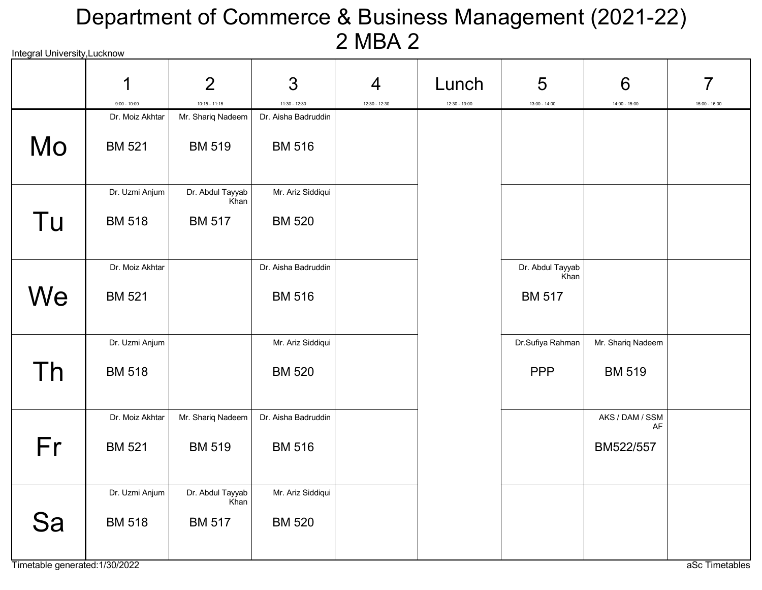# Integral University,Lucknow Department of Commerce & Business Management (2021-22) 2 MBA 2

|    | 1                                 | $\overline{2}$                       | 3                                    | $\overline{4}$ | Lunch           | 5                     | 6                 | 7               |
|----|-----------------------------------|--------------------------------------|--------------------------------------|----------------|-----------------|-----------------------|-------------------|-----------------|
|    | $9:00 - 10:00$<br>Dr. Moiz Akhtar | $10:15 - 11:15$<br>Mr. Shariq Nadeem | 11:30 - 12:30<br>Dr. Aisha Badruddin | 12:30 - 12:30  | $12:30 - 13:00$ | $13:00 - 14:00$       | $14:00 - 15:00$   | $15:00 - 16:00$ |
| Mo | <b>BM 521</b>                     | <b>BM 519</b>                        | <b>BM 516</b>                        |                |                 |                       |                   |                 |
|    | Dr. Uzmi Anjum                    | Dr. Abdul Tayyab<br>Khan             | Mr. Ariz Siddiqui                    |                |                 |                       |                   |                 |
| Tu | <b>BM 518</b>                     | <b>BM 517</b>                        | <b>BM 520</b>                        |                |                 |                       |                   |                 |
|    | Dr. Moiz Akhtar                   |                                      | Dr. Aisha Badruddin                  |                |                 | Dr. Abdul Tayyab      |                   |                 |
| We | <b>BM 521</b>                     |                                      | <b>BM 516</b>                        |                |                 | Khan<br><b>BM 517</b> |                   |                 |
|    | Dr. Uzmi Anjum                    |                                      | Mr. Ariz Siddiqui                    |                |                 | Dr.Sufiya Rahman      | Mr. Shariq Nadeem |                 |
| Th | <b>BM 518</b>                     |                                      | <b>BM 520</b>                        |                |                 | <b>PPP</b>            | <b>BM 519</b>     |                 |
|    | Dr. Moiz Akhtar                   | Mr. Shariq Nadeem                    | Dr. Aisha Badruddin                  |                |                 |                       | AKS / DAM / SSM   |                 |
| Fr | <b>BM 521</b>                     | <b>BM 519</b>                        | <b>BM 516</b>                        |                |                 |                       | AF<br>BM522/557   |                 |
|    | Dr. Uzmi Anjum                    | Dr. Abdul Tayyab<br>Khan             | Mr. Ariz Siddiqui                    |                |                 |                       |                   |                 |
| Sa | <b>BM 518</b>                     | <b>BM 517</b>                        | <b>BM 520</b>                        |                |                 |                       |                   |                 |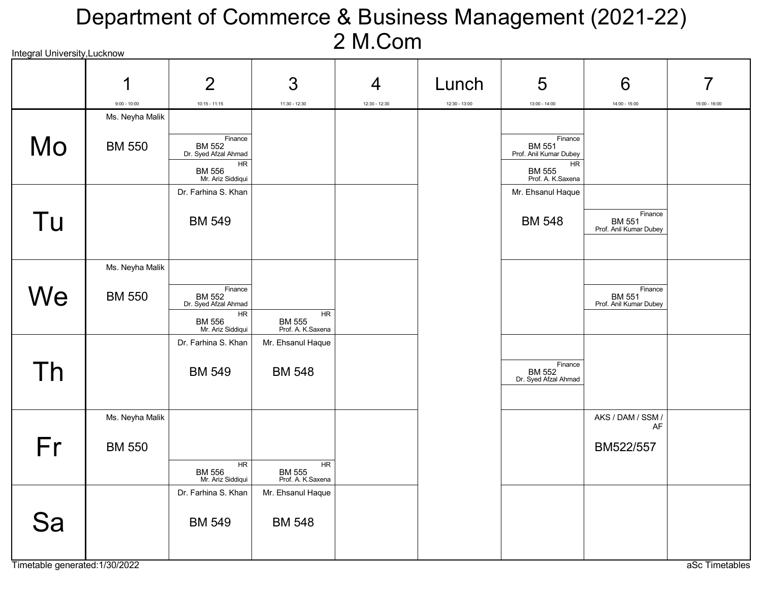# Integral University,Lucknow Department of Commerce & Business Management (2021-22) 2 M.Com

|    | 1<br>$9:00 - 10:00$ | $\overline{2}$<br>$10:15 - 11:15$                  | 3<br>$11:30 - 12:30$                            | 4<br>$12:30 - 12:30$ | Lunch<br>$12:30 - 13:00$ | 5<br>$13:00 - 14:00$                              | 6<br>$14:00 - 15:00$                               | $15:00 - 16:00$ |
|----|---------------------|----------------------------------------------------|-------------------------------------------------|----------------------|--------------------------|---------------------------------------------------|----------------------------------------------------|-----------------|
|    | Ms. Neyha Malik     |                                                    |                                                 |                      |                          |                                                   |                                                    |                 |
| Mo | <b>BM 550</b>       | Finance<br>BM 552<br>Dr. Syed Afzal Ahmad<br>HR    |                                                 |                      |                          | Finance<br>BM 551<br>Prof. Anil Kumar Dubey<br>HR |                                                    |                 |
|    |                     | BM 556<br>Mr. Ariz Siddiqui<br>Dr. Farhina S. Khan |                                                 |                      |                          | BM 555<br>Prof. A. K.Saxena<br>Mr. Ehsanul Haque  |                                                    |                 |
|    |                     |                                                    |                                                 |                      |                          |                                                   |                                                    |                 |
| Tu |                     | <b>BM 549</b>                                      |                                                 |                      |                          | <b>BM 548</b>                                     | Finance<br><b>BM 551</b><br>Prof. Anil Kumar Dubey |                 |
|    | Ms. Neyha Malik     |                                                    |                                                 |                      |                          |                                                   |                                                    |                 |
| We | <b>BM 550</b>       | Finance<br><b>BM 552</b><br>Dr. Syed Afzal Ahmad   |                                                 |                      |                          |                                                   | Finance<br><b>BM 551</b><br>Prof. Anil Kumar Dubey |                 |
|    |                     | HR<br>BM 556<br>Mr. Ariz Siddiqui                  | HR<br>BM 555<br>Prof. A. K. Saxena              |                      |                          |                                                   |                                                    |                 |
|    |                     | Dr. Farhina S. Khan                                | Mr. Ehsanul Haque                               |                      |                          |                                                   |                                                    |                 |
| Th |                     | <b>BM 549</b>                                      | <b>BM 548</b>                                   |                      |                          | Finance<br>BM 552<br>Dr. Syed Afzal Ahmad         |                                                    |                 |
|    | Ms. Neyha Malik     |                                                    |                                                 |                      |                          |                                                   | AKS / DAM / SSM /                                  |                 |
| Fr | <b>BM 550</b>       |                                                    |                                                 |                      |                          |                                                   | AF<br>BM522/557                                    |                 |
|    |                     | <b>HR</b><br>BM 556                                | $\overline{HR}$<br>BM 555<br>Prof. A. K. Saxena |                      |                          |                                                   |                                                    |                 |
|    |                     | Dr. Farhina S. Khan                                | Mr. Ehsanul Haque                               |                      |                          |                                                   |                                                    |                 |
| Sa |                     | <b>BM 549</b>                                      | <b>BM 548</b>                                   |                      |                          |                                                   |                                                    |                 |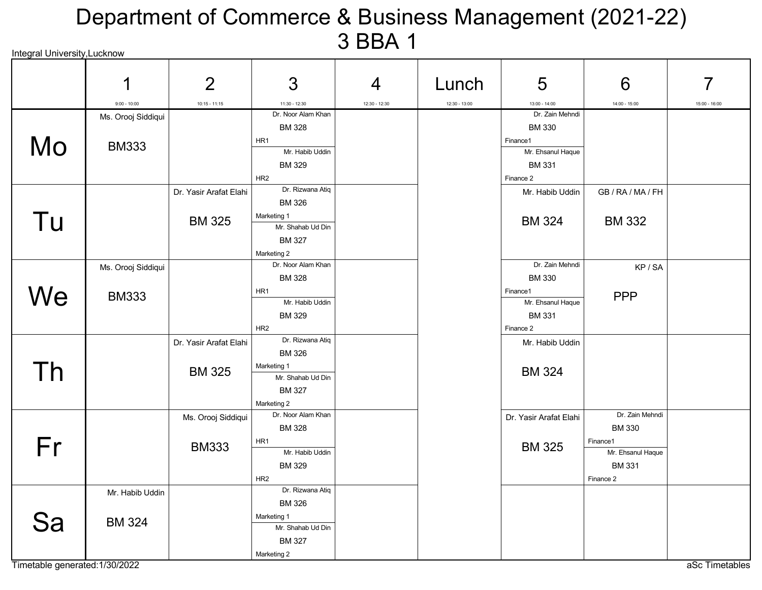#### Integral University,Lucknow Department of Commerce & Business Management (2021-22) 3 BBA 1

|     | 1                  | $\overline{2}$         | 3                                   | 4             | Lunch           | 5                      | 6                 |               |
|-----|--------------------|------------------------|-------------------------------------|---------------|-----------------|------------------------|-------------------|---------------|
|     | $9:00 - 10:00$     | $10:15 - 11:15$        | 11:30 - 12:30                       | 12:30 - 12:30 | $12:30 - 13:00$ | $13:00 - 14:00$        | 14:00 - 15:00     | 15:00 - 16:00 |
|     | Ms. Orooj Siddiqui |                        | Dr. Noor Alam Khan                  |               |                 | Dr. Zain Mehndi        |                   |               |
|     |                    |                        | <b>BM 328</b>                       |               |                 | <b>BM 330</b>          |                   |               |
| Mo  | <b>BM333</b>       |                        | HR1                                 |               |                 | Finance1               |                   |               |
|     |                    |                        | Mr. Habib Uddin                     |               |                 | Mr. Ehsanul Haque      |                   |               |
|     |                    |                        | <b>BM 329</b>                       |               |                 | <b>BM331</b>           |                   |               |
|     |                    |                        | HR <sub>2</sub>                     |               |                 | Finance 2              |                   |               |
|     |                    | Dr. Yasir Arafat Elahi | Dr. Rizwana Atiq                    |               |                 | Mr. Habib Uddin        | GB / RA / MA / FH |               |
|     |                    |                        | <b>BM 326</b>                       |               |                 |                        |                   |               |
| Tu  |                    | <b>BM 325</b>          | Marketing 1                         |               |                 | <b>BM 324</b>          | <b>BM 332</b>     |               |
|     |                    |                        | Mr. Shahab Ud Din                   |               |                 |                        |                   |               |
|     |                    |                        | <b>BM 327</b>                       |               |                 |                        |                   |               |
|     |                    |                        | Marketing 2                         |               |                 |                        |                   |               |
|     | Ms. Orooj Siddiqui |                        | Dr. Noor Alam Khan                  |               |                 | Dr. Zain Mehndi        | KP/SA             |               |
|     |                    |                        | <b>BM328</b>                        |               |                 | <b>BM330</b>           |                   |               |
| We  | <b>BM333</b>       |                        | HR <sub>1</sub>                     |               |                 | Finance1               | <b>PPP</b>        |               |
|     |                    |                        | Mr. Habib Uddin                     |               |                 | Mr. Ehsanul Haque      |                   |               |
|     |                    |                        | <b>BM 329</b>                       |               |                 | <b>BM331</b>           |                   |               |
|     |                    |                        | HR <sub>2</sub><br>Dr. Rizwana Atiq |               |                 | Finance 2              |                   |               |
|     |                    | Dr. Yasir Arafat Elahi |                                     |               |                 | Mr. Habib Uddin        |                   |               |
|     |                    |                        | <b>BM 326</b>                       |               |                 |                        |                   |               |
| Th  |                    | <b>BM 325</b>          | Marketing 1<br>Mr. Shahab Ud Din    |               |                 | <b>BM 324</b>          |                   |               |
|     |                    |                        | <b>BM 327</b>                       |               |                 |                        |                   |               |
|     |                    |                        |                                     |               |                 |                        |                   |               |
|     |                    |                        | Marketing 2<br>Dr. Noor Alam Khan   |               |                 | Dr. Yasir Arafat Elahi | Dr. Zain Mehndi   |               |
|     |                    | Ms. Orooj Siddiqui     | <b>BM 328</b>                       |               |                 |                        | <b>BM 330</b>     |               |
|     |                    |                        | HR1                                 |               |                 |                        | Finance1          |               |
| Fr  |                    | <b>BM333</b>           | Mr. Habib Uddin                     |               |                 | <b>BM 325</b>          | Mr. Ehsanul Haque |               |
|     |                    |                        | <b>BM 329</b>                       |               |                 |                        | <b>BM 331</b>     |               |
|     |                    |                        | HR <sub>2</sub>                     |               |                 |                        | Finance 2         |               |
|     | Mr. Habib Uddin    |                        | Dr. Rizwana Atiq                    |               |                 |                        |                   |               |
|     |                    |                        | <b>BM 326</b>                       |               |                 |                        |                   |               |
|     |                    |                        | Marketing 1                         |               |                 |                        |                   |               |
| ว่ล | <b>BM 324</b>      |                        | Mr. Shahab Ud Din                   |               |                 |                        |                   |               |
|     |                    |                        | <b>BM 327</b>                       |               |                 |                        |                   |               |
|     |                    |                        | Marketing 2                         |               |                 |                        |                   |               |

Timetable generated:1/30/2022 and and the state of the state of the state of the state of the state of the state of the state of the state of the state of the state of the state of the state of the state of the state of th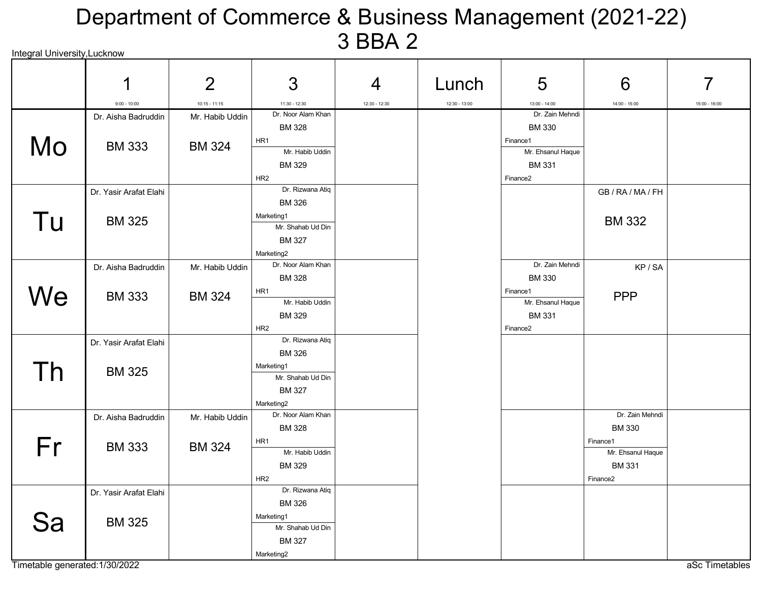# Integral University,Lucknow Department of Commerce & Business Management (2021-22) 3 BBA 2

|    | 1                      | $\overline{2}$  | 3                                   | 4             | Lunch           | 5                                 | 6                    | 7             |
|----|------------------------|-----------------|-------------------------------------|---------------|-----------------|-----------------------------------|----------------------|---------------|
|    | $9:00 - 10:00$         | $10:15 - 11:15$ | 11:30 - 12:30                       | 12:30 - 12:30 | $12:30 - 13:00$ | $13:00 - 14:00$                   | $14:00 - 15:00$      | 15:00 - 16:00 |
|    | Dr. Aisha Badruddin    | Mr. Habib Uddin | Dr. Noor Alam Khan                  |               |                 | Dr. Zain Mehndi                   |                      |               |
|    |                        |                 | <b>BM 328</b>                       |               |                 | <b>BM 330</b>                     |                      |               |
| Mo | <b>BM 333</b>          | <b>BM 324</b>   | HR1<br>Mr. Habib Uddin              |               |                 | Finance1                          |                      |               |
|    |                        |                 | <b>BM 329</b>                       |               |                 | Mr. Ehsanul Haque<br><b>BM331</b> |                      |               |
|    |                        |                 | HR <sub>2</sub>                     |               |                 | Finance <sub>2</sub>              |                      |               |
|    | Dr. Yasir Arafat Elahi |                 | Dr. Rizwana Atiq                    |               |                 |                                   | GB / RA / MA / FH    |               |
|    |                        |                 | <b>BM326</b>                        |               |                 |                                   |                      |               |
| Tu | <b>BM 325</b>          |                 | Marketing1                          |               |                 |                                   | <b>BM 332</b>        |               |
|    |                        |                 | Mr. Shahab Ud Din                   |               |                 |                                   |                      |               |
|    |                        |                 | <b>BM 327</b>                       |               |                 |                                   |                      |               |
|    |                        |                 | Marketing2                          |               |                 |                                   |                      |               |
|    | Dr. Aisha Badruddin    | Mr. Habib Uddin | Dr. Noor Alam Khan<br><b>BM 328</b> |               |                 | Dr. Zain Mehndi<br><b>BM 330</b>  | KP/SA                |               |
|    |                        |                 | HR1                                 |               |                 | Finance1                          |                      |               |
| We | <b>BM 333</b>          | <b>BM 324</b>   | Mr. Habib Uddin                     |               |                 | Mr. Ehsanul Haque                 | <b>PPP</b>           |               |
|    |                        |                 | <b>BM 329</b>                       |               |                 | <b>BM331</b>                      |                      |               |
|    |                        |                 | HR <sub>2</sub>                     |               |                 | Finance <sub>2</sub>              |                      |               |
|    | Dr. Yasir Arafat Elahi |                 | Dr. Rizwana Atiq                    |               |                 |                                   |                      |               |
|    |                        |                 | <b>BM 326</b>                       |               |                 |                                   |                      |               |
| Th | <b>BM 325</b>          |                 | Marketing1                          |               |                 |                                   |                      |               |
|    |                        |                 | Mr. Shahab Ud Din                   |               |                 |                                   |                      |               |
|    |                        |                 | <b>BM 327</b>                       |               |                 |                                   |                      |               |
|    | Dr. Aisha Badruddin    |                 | Marketing2<br>Dr. Noor Alam Khan    |               |                 |                                   | Dr. Zain Mehndi      |               |
|    |                        | Mr. Habib Uddin | <b>BM 328</b>                       |               |                 |                                   | <b>BM 330</b>        |               |
|    |                        |                 | HR1                                 |               |                 |                                   | Finance1             |               |
| Fr | <b>BM 333</b>          | <b>BM 324</b>   | Mr. Habib Uddin                     |               |                 |                                   | Mr. Ehsanul Haque    |               |
|    |                        |                 | <b>BM329</b>                        |               |                 |                                   | <b>BM331</b>         |               |
|    |                        |                 | HR <sub>2</sub>                     |               |                 |                                   | Finance <sub>2</sub> |               |
|    | Dr. Yasir Arafat Elahi |                 | Dr. Rizwana Atiq                    |               |                 |                                   |                      |               |
|    |                        |                 | <b>BM326</b>                        |               |                 |                                   |                      |               |
|    | <b>BM 325</b>          |                 | Marketing1<br>Mr. Shahab Ud Din     |               |                 |                                   |                      |               |
|    |                        |                 | <b>BM 327</b>                       |               |                 |                                   |                      |               |
|    |                        |                 | Marketing2                          |               |                 |                                   |                      |               |

Timetable generated:1/30/2022 and and the state of the state of the state of the state of the state of the state of the state of the state of the state of the state of the state of the state of the state of the state of th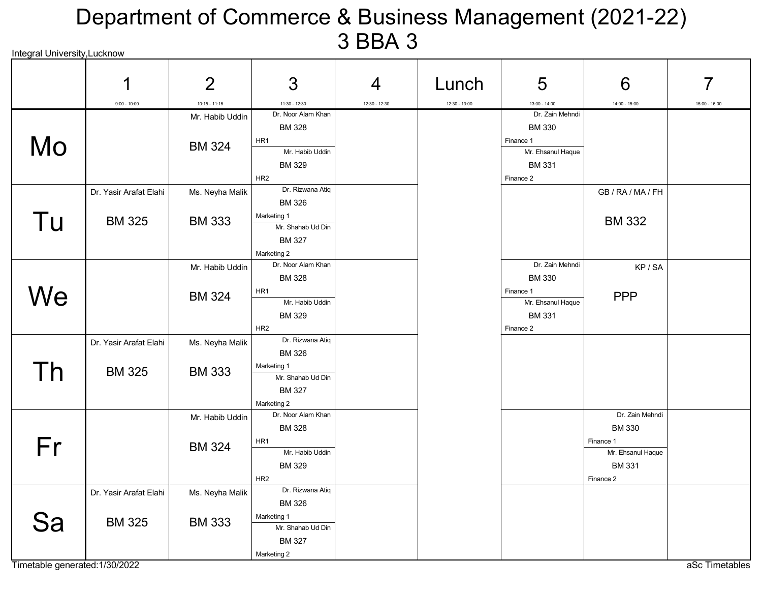#### Integral University,Lucknow Department of Commerce & Business Management (2021-22) 3 BBA 3

|           | 1                      | $\overline{2}$                   | 3                                                                                 | 4             | Lunch           | 5                                                                             | 6                                                           |                 |
|-----------|------------------------|----------------------------------|-----------------------------------------------------------------------------------|---------------|-----------------|-------------------------------------------------------------------------------|-------------------------------------------------------------|-----------------|
|           | $9:00 - 10:00$         | $10:15 - 11:15$                  | 11:30 - 12:30                                                                     | 12:30 - 12:30 | $12:30 - 13:00$ | $13:00 - 14:00$                                                               | 14:00 - 15:00                                               | $15:00 - 16:00$ |
| <b>Mo</b> |                        | Mr. Habib Uddin<br><b>BM 324</b> | Dr. Noor Alam Khan<br><b>BM 328</b><br>HR1<br>Mr. Habib Uddin                     |               |                 | Dr. Zain Mehndi<br><b>BM330</b><br>Finance 1<br>Mr. Ehsanul Haque             |                                                             |                 |
|           |                        |                                  | <b>BM 329</b><br>HR <sub>2</sub>                                                  |               |                 | <b>BM 331</b><br>Finance 2                                                    |                                                             |                 |
|           | Dr. Yasir Arafat Elahi | Ms. Neyha Malik                  | Dr. Rizwana Atiq<br><b>BM 326</b>                                                 |               |                 |                                                                               | GB / RA / MA / FH                                           |                 |
| Tu        | <b>BM 325</b>          | <b>BM 333</b>                    | Marketing 1<br>Mr. Shahab Ud Din<br><b>BM 327</b><br>Marketing 2                  |               |                 |                                                                               | <b>BM 332</b>                                               |                 |
|           |                        | Mr. Habib Uddin                  | Dr. Noor Alam Khan                                                                |               |                 | Dr. Zain Mehndi                                                               | KP/SA                                                       |                 |
| We        |                        | <b>BM 324</b>                    | <b>BM 328</b><br>HR1<br>Mr. Habib Uddin<br><b>BM329</b><br>HR <sub>2</sub>        |               |                 | <b>BM 330</b><br>Finance 1<br>Mr. Ehsanul Haque<br><b>BM 331</b><br>Finance 2 | <b>PPP</b>                                                  |                 |
|           | Dr. Yasir Arafat Elahi | Ms. Neyha Malik                  | Dr. Rizwana Atiq<br><b>BM 326</b>                                                 |               |                 |                                                                               |                                                             |                 |
| Th        | <b>BM 325</b>          | <b>BM 333</b>                    | Marketing 1<br>Mr. Shahab Ud Din<br><b>BM 327</b><br>Marketing 2                  |               |                 |                                                                               |                                                             |                 |
|           |                        | Mr. Habib Uddin                  | Dr. Noor Alam Khan<br><b>BM 328</b>                                               |               |                 |                                                                               | Dr. Zain Mehndi<br><b>BM 330</b>                            |                 |
| Fr        |                        | <b>BM 324</b>                    | HR1<br>Mr. Habib Uddin<br><b>BM 329</b><br>HR <sub>2</sub>                        |               |                 |                                                                               | Finance 1<br>Mr. Ehsanul Haque<br><b>BM331</b><br>Finance 2 |                 |
|           | Dr. Yasir Arafat Elahi | Ms. Neyha Malik                  | Dr. Rizwana Atiq                                                                  |               |                 |                                                                               |                                                             |                 |
| jа        | <b>BM 325</b>          | <b>BM 333</b>                    | <b>BM 326</b><br>Marketing 1<br>Mr. Shahab Ud Din<br><b>BM 327</b><br>Marketing 2 |               |                 |                                                                               |                                                             |                 |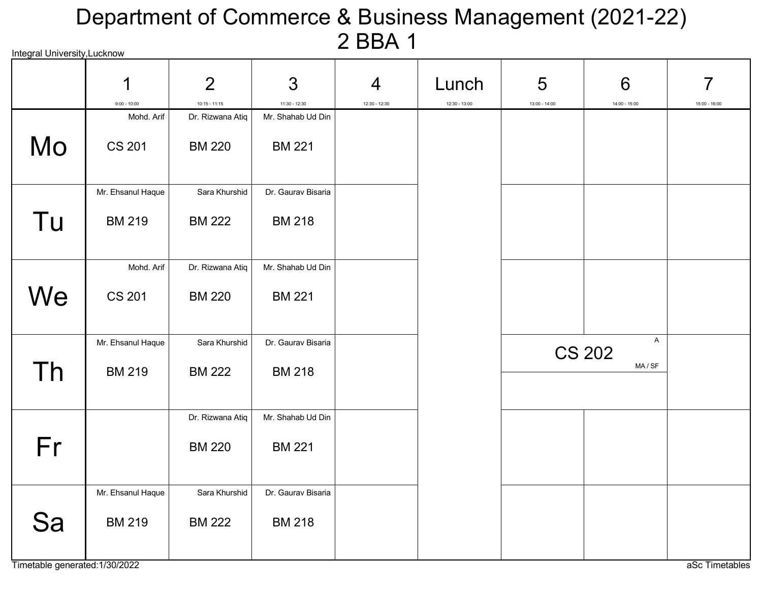# Integral University,Lucknow Department of Commerce & Business Management (2021-22) 2 BBA 1

|    | 1<br>$9:00 - 10:00$ | $\overline{2}$                      | 3                                  | 4             | Lunch           | 5               | 6<br>$14:00 - 15:00$         | 7               |
|----|---------------------|-------------------------------------|------------------------------------|---------------|-----------------|-----------------|------------------------------|-----------------|
|    | Mohd. Arif          | $10:15 - 11:15$<br>Dr. Rizwana Atiq | 11:30 - 12:30<br>Mr. Shahab Ud Din | 12:30 - 12:30 | $12:30 - 13:00$ | $13:00 - 14:00$ |                              | $15:00 - 16:00$ |
| Mo | <b>CS 201</b>       | <b>BM 220</b>                       | <b>BM 221</b>                      |               |                 |                 |                              |                 |
|    | Mr. Ehsanul Haque   | Sara Khurshid                       | Dr. Gaurav Bisaria                 |               |                 |                 |                              |                 |
| Tu | <b>BM 219</b>       | <b>BM 222</b>                       | <b>BM 218</b>                      |               |                 |                 |                              |                 |
|    | Mohd. Arif          | Dr. Rizwana Atiq                    | Mr. Shahab Ud Din                  |               |                 |                 |                              |                 |
| We | <b>CS 201</b>       | <b>BM 220</b>                       | <b>BM 221</b>                      |               |                 |                 |                              |                 |
|    | Mr. Ehsanul Haque   | Sara Khurshid                       | Dr. Gaurav Bisaria                 |               |                 |                 | $\mathsf A$<br><b>CS 202</b> |                 |
| Th | <b>BM 219</b>       | <b>BM 222</b>                       | <b>BM 218</b>                      |               |                 |                 | MA / SF                      |                 |
|    |                     | Dr. Rizwana Atiq                    | Mr. Shahab Ud Din                  |               |                 |                 |                              |                 |
| Fr |                     | <b>BM 220</b>                       | <b>BM 221</b>                      |               |                 |                 |                              |                 |
|    | Mr. Ehsanul Haque   | Sara Khurshid                       | Dr. Gaurav Bisaria                 |               |                 |                 |                              |                 |
| Sa | <b>BM 219</b>       | <b>BM 222</b>                       | <b>BM 218</b>                      |               |                 |                 |                              |                 |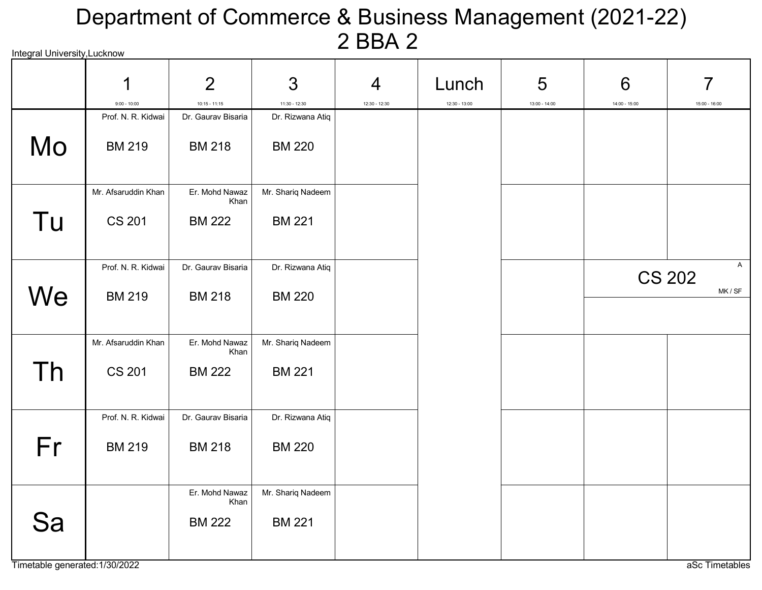# Integral University,Lucknow Department of Commerce & Business Management (2021-22) 2 BBA 2

|    | 1<br>$9:00 - 10:00$ | $\overline{2}$<br>$10:15 - 11:15$       | 3<br>$11:30 - 12:30$               | $\overline{4}$<br>12:30 - 12:30 | Lunch<br>$12:30 - 13:00$ | 5<br>$13:00 - 14:00$ | 6<br>$14:00 - 15:00$ | 7<br>$15:00 - 16:00$ |
|----|---------------------|-----------------------------------------|------------------------------------|---------------------------------|--------------------------|----------------------|----------------------|----------------------|
|    | Prof. N. R. Kidwai  | Dr. Gaurav Bisaria                      | Dr. Rizwana Atiq                   |                                 |                          |                      |                      |                      |
| Mo | <b>BM 219</b>       | <b>BM 218</b>                           | <b>BM 220</b>                      |                                 |                          |                      |                      |                      |
|    | Mr. Afsaruddin Khan | Er. Mohd Nawaz<br>Khan                  | Mr. Shariq Nadeem                  |                                 |                          |                      |                      |                      |
| Tu | <b>CS 201</b>       | <b>BM 222</b>                           | <b>BM 221</b>                      |                                 |                          |                      |                      |                      |
|    | Prof. N. R. Kidwai  | Dr. Gaurav Bisaria                      | Dr. Rizwana Atiq                   |                                 |                          |                      |                      | A<br><b>CS 202</b>   |
| We | <b>BM 219</b>       | <b>BM 218</b>                           | <b>BM 220</b>                      |                                 |                          |                      |                      | MK / SF              |
|    | Mr. Afsaruddin Khan | Er. Mohd Nawaz                          | Mr. Shariq Nadeem                  |                                 |                          |                      |                      |                      |
| Th | <b>CS 201</b>       | Khan<br><b>BM 222</b>                   | <b>BM 221</b>                      |                                 |                          |                      |                      |                      |
|    | Prof. N. R. Kidwai  | Dr. Gaurav Bisaria                      | Dr. Rizwana Atiq                   |                                 |                          |                      |                      |                      |
| Fr | <b>BM 219</b>       | <b>BM 218</b>                           | <b>BM 220</b>                      |                                 |                          |                      |                      |                      |
| Sa |                     | Er. Mohd Nawaz<br>Khan<br><b>BM 222</b> | Mr. Shariq Nadeem<br><b>BM 221</b> |                                 |                          |                      |                      |                      |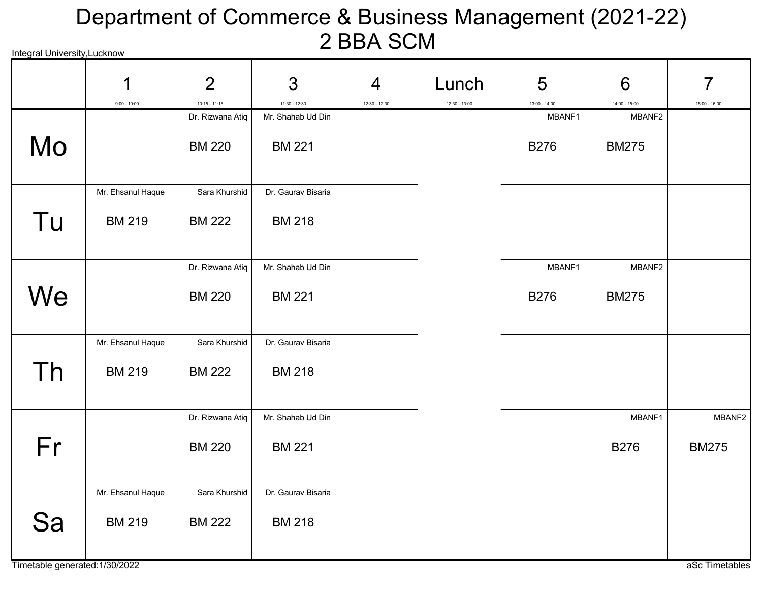# Integral University,Lucknow Department of Commerce & Business Management (2021-22) 2 BBA SCM

|    | 1                 | $\overline{2}$                      | 3                                    | $\overline{4}$ | Lunch           | 5                         | 6                         | 7               |
|----|-------------------|-------------------------------------|--------------------------------------|----------------|-----------------|---------------------------|---------------------------|-----------------|
|    | $9:00 - 10:00$    | $10:15 - 11:15$<br>Dr. Rizwana Atiq | $11:30 - 12:30$<br>Mr. Shahab Ud Din | 12:30 - 12:30  | $12:30 - 13:00$ | $13:00 - 14:00$<br>MBANF1 | $14:00 - 15:00$<br>MBANF2 | $15:00 - 16:00$ |
| Mo |                   | <b>BM 220</b>                       | <b>BM 221</b>                        |                |                 | <b>B276</b>               | <b>BM275</b>              |                 |
|    | Mr. Ehsanul Haque | Sara Khurshid                       | Dr. Gaurav Bisaria                   |                |                 |                           |                           |                 |
| Tu | <b>BM 219</b>     | <b>BM 222</b>                       | <b>BM 218</b>                        |                |                 |                           |                           |                 |
|    |                   | Dr. Rizwana Atiq                    | Mr. Shahab Ud Din                    |                |                 | MBANF1                    | MBANF2                    |                 |
| We |                   | <b>BM 220</b>                       | <b>BM 221</b>                        |                |                 | <b>B276</b>               | <b>BM275</b>              |                 |
|    | Mr. Ehsanul Haque | Sara Khurshid                       | Dr. Gaurav Bisaria                   |                |                 |                           |                           |                 |
| Th | <b>BM 219</b>     | <b>BM 222</b>                       | <b>BM 218</b>                        |                |                 |                           |                           |                 |
|    |                   | Dr. Rizwana Atiq                    | Mr. Shahab Ud Din                    |                |                 |                           | MBANF1                    | MBANF2          |
| Fr |                   | <b>BM 220</b>                       | <b>BM 221</b>                        |                |                 |                           | <b>B276</b>               | <b>BM275</b>    |
|    | Mr. Ehsanul Haque | Sara Khurshid                       | Dr. Gaurav Bisaria                   |                |                 |                           |                           |                 |
| Sa | <b>BM 219</b>     | <b>BM 222</b>                       | <b>BM 218</b>                        |                |                 |                           |                           |                 |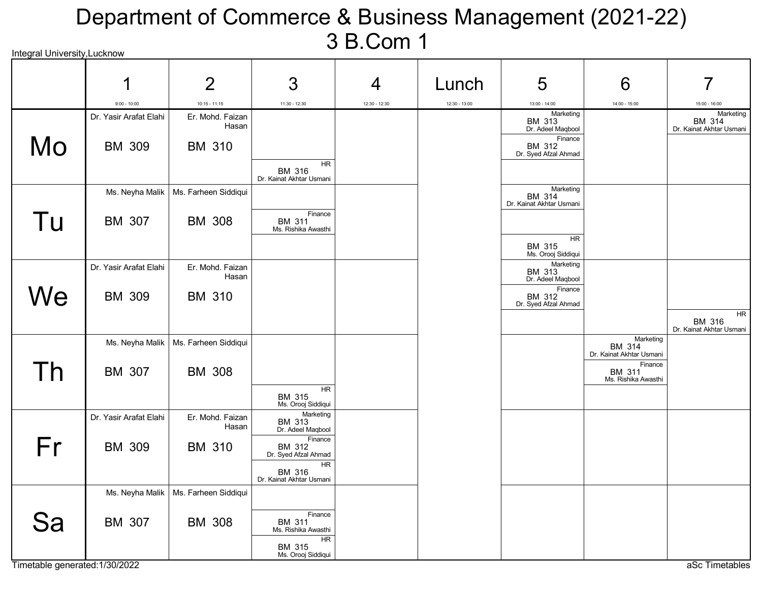# Integral University,Lucknow Department of Commerce & Business Management (2021-22) 3 B.Com 1

|    | 1                      | $\overline{2}$                         | 3                                               | 4               | Lunch           | 5                                               | 6                                               |                                                        |
|----|------------------------|----------------------------------------|-------------------------------------------------|-----------------|-----------------|-------------------------------------------------|-------------------------------------------------|--------------------------------------------------------|
|    | $9:00 - 10:00$         | $10:15 - 11:15$                        | $11:30 - 12:30$                                 | $12:30 - 12:30$ | $12:30 - 13:00$ | $13:00 - 14:00$                                 | $14:00 - 15:00$                                 | $15:00 - 16:00$                                        |
|    | Dr. Yasir Arafat Elahi | Er. Mohd. Faizan<br>Hasan              |                                                 |                 |                 | Marketing<br><b>BM 313</b><br>Dr. Adeel Maqbool |                                                 | Marketing<br><b>BM 314</b><br>Dr. Kainat Akhtar Usmani |
| Mo | <b>BM 309</b>          | <b>BM 310</b>                          |                                                 |                 |                 | Finance<br>BM 312<br>Dr. Syed Afzal Ahmad       |                                                 |                                                        |
|    |                        |                                        | <b>HR</b><br>BM 316<br>Dr. Kainat Akhtar Usmani |                 |                 |                                                 |                                                 |                                                        |
|    | Ms. Neyha Malik        | Ms. Farheen Siddiqui                   |                                                 |                 |                 | Marketing<br>BM 314<br>Dr. Kainat Akhtar Usmani |                                                 |                                                        |
| Tu | <b>BM 307</b>          | <b>BM 308</b>                          | Finance<br><b>BM 311</b><br>Ms. Rishika Awasthi |                 |                 |                                                 |                                                 |                                                        |
|    |                        |                                        |                                                 |                 |                 | <b>HR</b><br>BM 315<br>Ms. Orooj Siddiqui       |                                                 |                                                        |
|    | Dr. Yasir Arafat Elahi | Er. Mohd. Faizan<br>Hasan              |                                                 |                 |                 | Marketing<br>BM 313<br>Dr. Adeel Maqbool        |                                                 |                                                        |
| We | <b>BM 309</b>          | <b>BM 310</b>                          |                                                 |                 |                 | Finance<br>BM 312<br>Dr. Syed Afzal Ahmad       |                                                 |                                                        |
|    |                        |                                        |                                                 |                 |                 |                                                 |                                                 | HR<br>BM 316<br>Dr. Kainat Akhtar Usmani               |
|    |                        | Ms. Neyha Malik   Ms. Farheen Siddiqui |                                                 |                 |                 |                                                 | Marketing<br>BM 314<br>Dr. Kainat Akhtar Usmani |                                                        |
| Th | <b>BM 307</b>          | <b>BM 308</b>                          |                                                 |                 |                 |                                                 | Finance<br>BM 311<br>Ms. Rishika Awasthi        |                                                        |
|    |                        |                                        | <b>HR</b><br>BM 315<br>Ms. Orooj Siddiqui       |                 |                 |                                                 |                                                 |                                                        |
|    | Dr. Yasir Arafat Elahi | Er. Mohd. Faizan<br>Hasan              | Marketing<br>BM 313<br>Dr. Adeel Maqbool        |                 |                 |                                                 |                                                 |                                                        |
| Fr | <b>BM 309</b>          | <b>BM 310</b>                          | Finance<br>BM 312<br>Dr. Syed Afzal Ahmad       |                 |                 |                                                 |                                                 |                                                        |
|    |                        |                                        | <b>HR</b><br>BM 316<br>Dr. Kainat Akhtar Usmani |                 |                 |                                                 |                                                 |                                                        |
|    | Ms. Neyha Malik        | Ms. Farheen Siddiqui                   |                                                 |                 |                 |                                                 |                                                 |                                                        |
| Sa | BM 307                 | <b>BM 308</b>                          | Finance<br><b>BM 311</b><br>Ms. Rishika Awasthi |                 |                 |                                                 |                                                 |                                                        |
|    |                        |                                        | HR<br>BM 315<br>Ms. Orooj Siddiqui              |                 |                 |                                                 |                                                 |                                                        |

Timetable generated:1/30/2022 and a set Timetables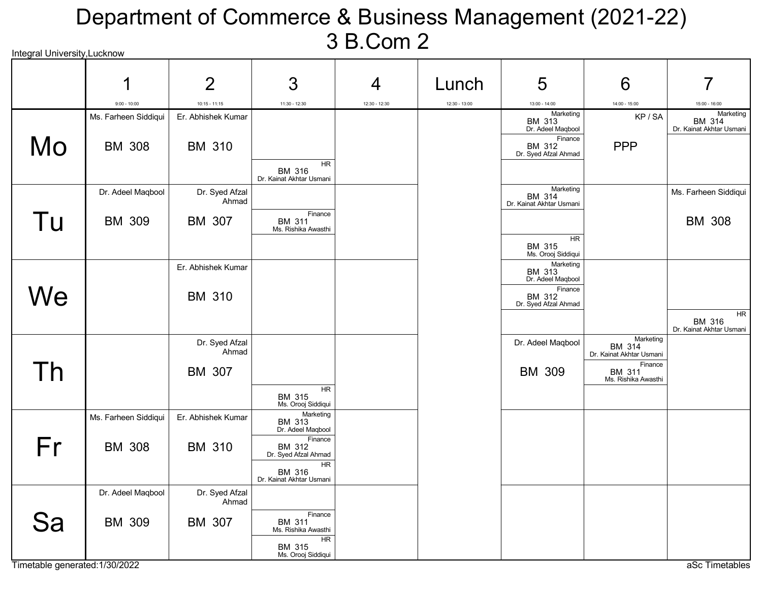#### Integral University,Lucknow Department of Commerce & Business Management (2021-22) 3 B.Com 2

|    | 1                    | $\overline{2}$          | 3                                         | $\overline{4}$  | Lunch           | 5                                         | 6                                  | 7                                               |
|----|----------------------|-------------------------|-------------------------------------------|-----------------|-----------------|-------------------------------------------|------------------------------------|-------------------------------------------------|
|    | $9:00 - 10:00$       | $10:15 - 11:15$         | $11:30 - 12:30$                           | $12:30 - 12:30$ | $12:30 - 13:00$ | $13:00 - 14:00$                           | $14:00 - 15:00$                    | $15:00 - 16:00$                                 |
|    | Ms. Farheen Siddiqui | Er. Abhishek Kumar      |                                           |                 |                 | Marketing<br>BM 313                       | KP/SA                              | Marketing<br>BM 314                             |
|    |                      |                         |                                           |                 |                 | Dr. Adeel Maqbool<br>Finance              |                                    | Dr. Kainat Akhtar Usmani                        |
| Mo | <b>BM 308</b>        | <b>BM 310</b>           |                                           |                 |                 | BM 312<br>Dr. Syed Afzal Ahmad            | <b>PPP</b>                         |                                                 |
|    |                      |                         | <b>HR</b>                                 |                 |                 |                                           |                                    |                                                 |
|    |                      |                         | BM 316<br>Dr. Kainat Akhtar Usmani        |                 |                 |                                           |                                    |                                                 |
|    | Dr. Adeel Maqbool    | Dr. Syed Afzal<br>Ahmad |                                           |                 |                 | Marketing<br>BM 314                       |                                    | Ms. Farheen Siddiqui                            |
|    |                      |                         | Finance                                   |                 |                 | Dr. Kainat Akhtar Usmani                  |                                    |                                                 |
| Tu | <b>BM 309</b>        | BM 307                  | <b>BM 311</b><br>Ms. Rishika Awasthi      |                 |                 |                                           |                                    | <b>BM 308</b>                                   |
|    |                      |                         |                                           |                 |                 | HR                                        |                                    |                                                 |
|    |                      |                         |                                           |                 |                 | BM 315<br>Ms. Orooj Siddiqui<br>Marketing |                                    |                                                 |
|    |                      | Er. Abhishek Kumar      |                                           |                 |                 | BM 313<br>Dr. Adeel Maqbool               |                                    |                                                 |
|    |                      |                         |                                           |                 |                 | Finance                                   |                                    |                                                 |
| We |                      | <b>BM 310</b>           |                                           |                 |                 | BM 312<br>Dr. Syed Afzal Ahmad            |                                    |                                                 |
|    |                      |                         |                                           |                 |                 |                                           |                                    | <b>HR</b><br>BM 316<br>Dr. Kainat Akhtar Usmani |
|    |                      | Dr. Syed Afzal          |                                           |                 |                 | Dr. Adeel Maqbool                         | Marketing                          |                                                 |
|    |                      | Ahmad                   |                                           |                 |                 |                                           | BM 314<br>Dr. Kainat Akhtar Usmani |                                                 |
| Th |                      | <b>BM 307</b>           |                                           |                 |                 | <b>BM 309</b>                             | Finance                            |                                                 |
|    |                      |                         | HR                                        |                 |                 |                                           | BM 311<br>Ms. Rishika Awasthi      |                                                 |
|    |                      |                         | BM 315<br>Ms. Orooj Siddiqui              |                 |                 |                                           |                                    |                                                 |
|    | Ms. Farheen Siddiqui | Er. Abhishek Kumar      | Marketing<br>BM 313                       |                 |                 |                                           |                                    |                                                 |
|    |                      |                         | Dr. Adeel Maqbool                         |                 |                 |                                           |                                    |                                                 |
| Fr | <b>BM 308</b>        | <b>BM 310</b>           | Finance<br>BM 312<br>Dr. Syed Afzal Ahmad |                 |                 |                                           |                                    |                                                 |
|    |                      |                         | HR                                        |                 |                 |                                           |                                    |                                                 |
|    |                      |                         | BM 316<br>Dr. Kainat Akhtar Usmani        |                 |                 |                                           |                                    |                                                 |
|    | Dr. Adeel Maqbool    | Dr. Syed Afzal          |                                           |                 |                 |                                           |                                    |                                                 |
|    |                      | Ahmad                   |                                           |                 |                 |                                           |                                    |                                                 |
| Sa | <b>BM 309</b>        | BM 307                  | Finance<br>BM 311<br>Ms. Rishika Awasthi  |                 |                 |                                           |                                    |                                                 |
|    |                      |                         | <b>HR</b>                                 |                 |                 |                                           |                                    |                                                 |
|    |                      |                         | BM 315<br>Ms. Orooj Siddiqui              |                 |                 |                                           |                                    |                                                 |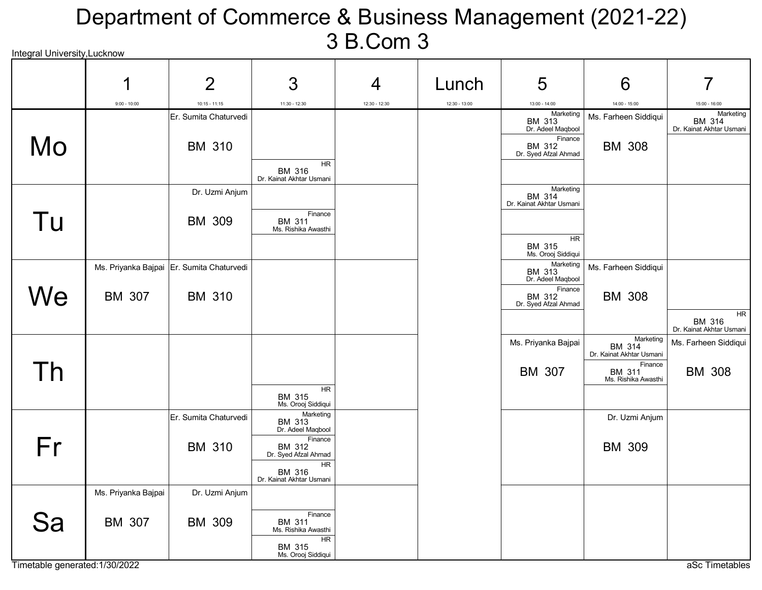#### Integral University Lucknow Department of Commerce & Business Management (2021-22) 3 B.Com 3

|    | 1                   | $\overline{2}$                            | 3                                                     | $\overline{4}$ | Lunch           | 5                                                          | 6                                               | 7                                               |
|----|---------------------|-------------------------------------------|-------------------------------------------------------|----------------|-----------------|------------------------------------------------------------|-------------------------------------------------|-------------------------------------------------|
|    | $9:00 - 10:00$      | $10:15 - 11:15$                           | $11:30 - 12:30$                                       | 12:30 - 12:30  | $12:30 - 13:00$ | $13:00 - 14:00$                                            | $14:00 - 15:00$                                 | $15:00 - 16:00$                                 |
|    |                     | Er. Sumita Chaturvedi                     |                                                       |                |                 | Marketing<br>BM 313<br>Dr. Adeel Maqbool<br>Finance        | Ms. Farheen Siddiqui                            | Marketing<br>BM 314<br>Dr. Kainat Akhtar Usmani |
| Mo |                     | <b>BM 310</b>                             | <b>HR</b>                                             |                |                 | <b>BM 312</b><br>Dr. Syed Afzal Ahmad                      | <b>BM 308</b>                                   |                                                 |
|    |                     |                                           | BM 316<br>Dr. Kainat Akhtar Usmani                    |                |                 |                                                            |                                                 |                                                 |
|    |                     | Dr. Uzmi Anjum                            |                                                       |                |                 | Marketing<br>BM 314<br>Dr. Kainat Akhtar Usmani            |                                                 |                                                 |
| Tu |                     | <b>BM 309</b>                             | Finance<br><b>BM 311</b><br>Ms. Rishika Awasthi       |                |                 | <b>HR</b>                                                  |                                                 |                                                 |
|    |                     |                                           |                                                       |                |                 | BM 315<br>Ms. Orooj Siddiqui                               |                                                 |                                                 |
|    |                     | Ms. Priyanka Bajpai Er. Sumita Chaturvedi |                                                       |                |                 | Marketing<br><b>BM 313</b><br>Dr. Adeel Maqbool<br>Finance | Ms. Farheen Siddiqui                            |                                                 |
| We | BM 307              | <b>BM 310</b>                             |                                                       |                |                 | <b>BM 312</b><br>Dr. Syed Afzal Ahmad                      | <b>BM 308</b>                                   | HR                                              |
|    |                     |                                           |                                                       |                |                 |                                                            |                                                 | BM 316<br>Dr. Kainat Akhtar Usmani              |
|    |                     |                                           |                                                       |                |                 | Ms. Priyanka Bajpai                                        | Marketing<br>BM 314<br>Dr. Kainat Akhtar Usmani | Ms. Farheen Siddiqui                            |
| Th |                     |                                           | HR                                                    |                |                 | <b>BM 307</b>                                              | Finance<br>BM 311<br>Ms. Rishika Awasthi        | <b>BM 308</b>                                   |
|    |                     |                                           | BM 315<br>Ms. Orooj Siddiqui                          |                |                 |                                                            |                                                 |                                                 |
|    |                     | Er. Sumita Chaturvedi                     | Marketing<br>BM 313<br>Dr. Adeel Maqbool<br>Finance   |                |                 |                                                            | Dr. Uzmi Anjum                                  |                                                 |
| Fr |                     | <b>BM 310</b>                             | BM 312<br>Dr. Syed Afzal Ahmad                        |                |                 |                                                            | <b>BM 309</b>                                   |                                                 |
|    |                     |                                           | HR.<br>BM 316<br>Dr. Kainat Akhtar Usmani             |                |                 |                                                            |                                                 |                                                 |
|    | Ms. Priyanka Bajpai | Dr. Uzmi Anjum                            |                                                       |                |                 |                                                            |                                                 |                                                 |
| Sa | <b>BM 307</b>       | <b>BM 309</b>                             | Finance<br>BM 311<br>Ms. Rishika Awasthi<br><b>HR</b> |                |                 |                                                            |                                                 |                                                 |
|    |                     |                                           | BM 315<br>Ms. Orooj Siddiqui                          |                |                 |                                                            |                                                 |                                                 |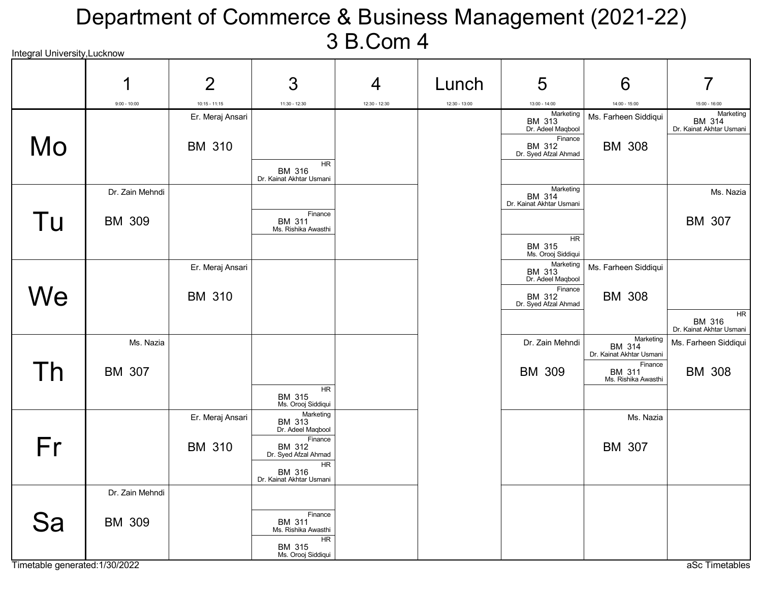#### Integral University Lucknow Department of Commerce & Business Management (2021-22) 3 B.Com 4

| micyrai University,Lucknow |                 |                  |                                                 |                |                 |                                                  |                                                 |                                                 |
|----------------------------|-----------------|------------------|-------------------------------------------------|----------------|-----------------|--------------------------------------------------|-------------------------------------------------|-------------------------------------------------|
|                            | 1               | $\overline{2}$   | 3                                               | $\overline{4}$ | Lunch           | 5                                                | 6                                               | 7                                               |
|                            | $9:00 - 10:00$  | $10:15 - 11:15$  | 11:30 - 12:30                                   | 12:30 - 12:30  | $12:30 - 13:00$ | $13:00 - 14:00$                                  | 14:00 - 15:00                                   | $15:00 - 16:00$                                 |
|                            |                 | Er. Meraj Ansari |                                                 |                |                 | Marketing<br><b>BM 313</b><br>Dr. Adeel Maqbool  | Ms. Farheen Siddiqui                            | Marketing<br>BM 314<br>Dr. Kainat Akhtar Usmani |
| Mo                         |                 | <b>BM 310</b>    | <b>HR</b>                                       |                |                 | Finance<br><b>BM 312</b><br>Dr. Syed Afzal Ahmad | <b>BM 308</b>                                   |                                                 |
|                            |                 |                  | BM 316<br>Dr. Kainat Akhtar Usmani              |                |                 |                                                  |                                                 |                                                 |
|                            | Dr. Zain Mehndi |                  |                                                 |                |                 | Marketing<br>BM 314<br>Dr. Kainat Akhtar Usmani  |                                                 | Ms. Nazia                                       |
| Tu                         | <b>BM 309</b>   |                  | Finance<br><b>BM 311</b><br>Ms. Rishika Awasthi |                |                 |                                                  |                                                 | BM 307                                          |
|                            |                 |                  |                                                 |                |                 | <b>HR</b><br>BM 315<br>Ms. Orooj Siddiqui        |                                                 |                                                 |
|                            |                 | Er. Meraj Ansari |                                                 |                |                 | Marketing<br>BM 313<br>Dr. Adeel Maqbool         | Ms. Farheen Siddiqui                            |                                                 |
| We                         |                 | <b>BM 310</b>    |                                                 |                |                 | Finance<br>BM 312<br>Dr. Syed Afzal Ahmad        | <b>BM 308</b>                                   |                                                 |
|                            |                 |                  |                                                 |                |                 |                                                  |                                                 | <b>HR</b><br>BM 316<br>Dr. Kainat Akhtar Usmani |
|                            | Ms. Nazia       |                  |                                                 |                |                 | Dr. Zain Mehndi                                  | Marketing<br>BM 314<br>Dr. Kainat Akhtar Usmani | Ms. Farheen Siddiqui                            |
| Th                         | <b>BM 307</b>   |                  |                                                 |                |                 | <b>BM 309</b>                                    | Finance<br>BM 311<br>Ms. Rishika Awasthi        | <b>BM 308</b>                                   |
|                            |                 |                  | <b>HR</b><br>BM 315<br>Ms. Orooj Siddiqui       |                |                 |                                                  |                                                 |                                                 |
|                            |                 | Er. Meraj Ansari | Marketing<br><b>BM 313</b><br>Dr. Adeel Maqbool |                |                 |                                                  | Ms. Nazia                                       |                                                 |
| Fr                         |                 | <b>BM 310</b>    | Finance<br>BM 312<br>Dr. Syed Afzal Ahmad       |                |                 |                                                  | <b>BM 307</b>                                   |                                                 |
|                            |                 |                  | HR.<br>BM 316<br>Dr. Kainat Akhtar Usmani       |                |                 |                                                  |                                                 |                                                 |
|                            | Dr. Zain Mehndi |                  |                                                 |                |                 |                                                  |                                                 |                                                 |
| Sa                         | <b>BM 309</b>   |                  | Finance<br>BM 311<br>Ms. Rishika Awasthi        |                |                 |                                                  |                                                 |                                                 |
|                            |                 |                  | <b>HR</b><br>BM 315<br>Ms. Orooj Siddiqui       |                |                 |                                                  |                                                 |                                                 |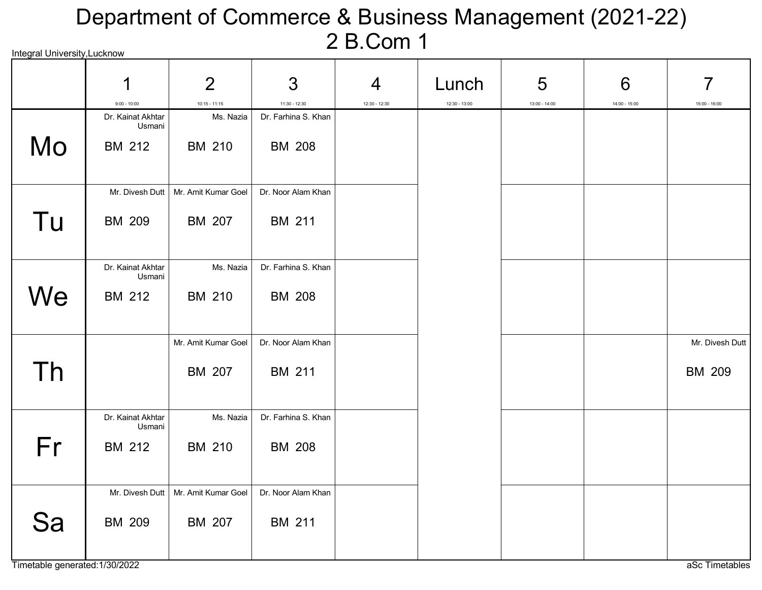# Integral University,Lucknow Department of Commerce & Business Management (2021-22) 2 B.Com 1

|    | 1<br>$9:00 - 10:00$                          | $\overline{2}$<br>$10:15 - 11:15$ | 3<br>$11:30 - 12:30$                 | $\overline{4}$<br>12:30 - 12:30 | Lunch<br>$12:30 - 13:00$ | 5<br>$13:00 - 14:00$ | 6<br>$14:00 - 15:00$ | 7<br>$15:00 - 16:00$             |
|----|----------------------------------------------|-----------------------------------|--------------------------------------|---------------------------------|--------------------------|----------------------|----------------------|----------------------------------|
| Mo | Dr. Kainat Akhtar<br>Usmani<br><b>BM 212</b> | Ms. Nazia<br>BM 210               | Dr. Farhina S. Khan<br><b>BM 208</b> |                                 |                          |                      |                      |                                  |
| Tu | Mr. Divesh Dutt<br><b>BM 209</b>             | Mr. Amit Kumar Goel<br>BM 207     | Dr. Noor Alam Khan<br><b>BM 211</b>  |                                 |                          |                      |                      |                                  |
| We | Dr. Kainat Akhtar<br>Usmani<br><b>BM 212</b> | Ms. Nazia<br>BM 210               | Dr. Farhina S. Khan<br><b>BM 208</b> |                                 |                          |                      |                      |                                  |
| Th |                                              | Mr. Amit Kumar Goel<br>BM 207     | Dr. Noor Alam Khan<br><b>BM 211</b>  |                                 |                          |                      |                      | Mr. Divesh Dutt<br><b>BM 209</b> |
| Fr | Dr. Kainat Akhtar<br>Usmani<br><b>BM 212</b> | Ms. Nazia<br><b>BM 210</b>        | Dr. Farhina S. Khan<br><b>BM 208</b> |                                 |                          |                      |                      |                                  |
| Sa | Mr. Divesh Dutt<br><b>BM 209</b>             | Mr. Amit Kumar Goel<br>BM 207     | Dr. Noor Alam Khan<br><b>BM 211</b>  |                                 |                          |                      |                      |                                  |